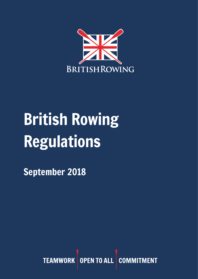

# British Rowing Regulations

September 2018

TEAMWORK OPEN TO ALL COMM ENT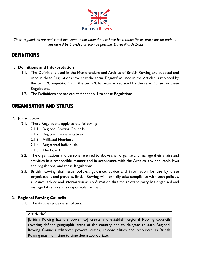

*These regulations are under revision, some minor amendments have been made for accuracy but an updated version will be provided as soon as possible. Dated March 2022*

## DEFINITIONS

#### 1. **Definitions and Interpretation**

- 1.1. The Definitions used in the Memorandum and Articles of British Rowing are adopted and used in these Regulations save that the term 'Regatta' as used in the Articles is replaced by the term 'Competition' and the term 'Chairman' is replaced by the term 'Chair' in these Regulations.
- 1.2. The Definitions are set out at Appendix 1 to these Regulations.

## ORGANISATION AND STATUS

- 2. **Jurisdiction**
	- 2.1. These Regulations apply to the following:
		- 2.1.1. Regional Rowing Councils
		- 2.1.2. Regional Representatives
		- 2.1.3. Affiliated Members
		- 2.1.4. Registered Individuals
		- 2.1.5. The Board.
	- 2.2. The organisations and persons referred to above shall organise and manage their affairs and activities in a responsible manner and in accordance with the Articles, any applicable laws and regulations, and these Regulations.
	- 2.3. British Rowing shall issue policies, guidance, advice and information for use by these organisations and persons. British Rowing will normally take compliance with such policies, guidance, advice and information as confirmation that the relevant party has organised and managed its affairs in a responsible manner.

#### 3. **Regional Rowing Councils**

3.1. The Articles provide as follows:

#### Article 4(q)

[British Rowing has the power to] create and establish Regional Rowing Councils covering defined geographic areas of the country and to delegate to such Regional Rowing Councils whatever powers, duties, responsibilities and resources as British Rowing may from time to time deem appropriate.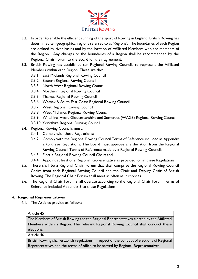

- 3.2. In order to enable the efficient running of the sport of Rowing in England, British Rowing has determined ten geographical regions referred to as 'Regions'. The boundaries of each Region are defined by river basins and by the location of Affiliated Members who are members of the Region. Any changes to the boundaries of a Region shall be recommended by the Regional Chair Forum to the Board for their agreement.
- 3.3. British Rowing has established ten Regional Rowing Councils to represent the Affiliated Members within each Region. These are the:
	- 3.3.1. East Midlands Regional Rowing Council
	- 3.3.2. Eastern Regional Rowing Council
	- 3.3.3. North West Regional Rowing Council
	- 3.3.4. Northern Regional Rowing Council
	- 3.3.5. Thames Regional Rowing Council
	- 3.3.6. Wessex & South East Coast Regional Rowing Council
	- 3.3.7. West Regional Rowing Council
	- 3.3.8. West Midlands Regional Rowing Council
	- 3.3.9. Wiltshire, Avon, Gloucestershire and Somerset (WAGS) Regional Rowing Council
	- 3.3.10. Yorkshire Regional Rowing Council.
- 3.4. Regional Rowing Councils must:
	- 3.4.1. Comply with these Regulations;
	- 3.4.2. Comply with the Regional Rowing Council Terms of Reference included as Appendix 2 to these Regulations. The Board must approve any deviation from the Regional Rowing Council Terms of Reference made by a Regional Rowing Council;
	- 3.4.3. Elect a Regional Rowing Council Chair; and
	- 3.4.4. Appoint at least one Regional Representative as provided for in these Regulations.
- 3.5. There shall be a Regional Chair Forum that shall comprise the Regional Rowing Council Chairs from each Regional Rowing Council and the Chair and Deputy Chair of British Rowing. The Regional Chair Forum shall meet as often as it chooses.
- 3.6. The Regional Chair Forum shall operate according to the Regional Chair Forum Terms of Reference included Appendix 3 to these Regulations.

#### 4. **Regional Representatives**

4.1. The Articles provide as follows:

#### Article 45

The Members of British Rowing are the Regional Representatives elected by the Affiliated Members within a Region. The relevant Regional Rowing Council shall conduct these elections.

#### Article 46

British Rowing shall establish regulations in respect of the conduct of elections of Regional Representatives and the terms of office to be served by Regional Representatives.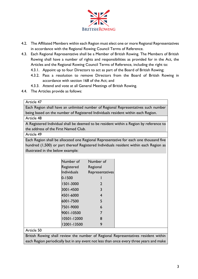

- 4.2. The Affiliated Members within each Region must elect one or more Regional Representatives in accordance with the Regional Rowing Council Terms of Reference.
- 4.3. Each Regional Representative shall be a Member of British Rowing. The Members of British Rowing shall have a number of rights and responsibilities as provided for in the Act, the Articles and the Regional Rowing Council Terms of Reference, including the right to:
	- 4.3.1. Appoint up to four Directors to act as part of the Board of British Rowing;
	- 4.3.2. Pass a resolution to remove Directors from the Board of British Rowing in accordance with section 168 of the Act; and
	- 4.3.3. Attend and vote at all General Meetings of British Rowing.
- 4.4. The Articles provide as follows:

#### Article 47

Each Region shall have an unlimited number of Regional Representatives such number being based on the number of Registered Individuals resident within each Region.

Article 48

A Registered Individual shall be deemed to be resident within a Region by reference to the address of the First Named Club.

Article 49

Each Region shall be allocated one Regional Representative for each one thousand five hundred (1,500) or part thereof Registered Individuals resident within each Region as illustrated in the below example:

| Number of          | Number of       |
|--------------------|-----------------|
| Registered         | Regional        |
| <b>Individuals</b> | Representatives |
| 0-1500             |                 |
| 1501-3000          | $\mathcal{L}$   |
| 3001-4500          | 3               |
| 4501-6000          | 4               |
| 6001-7500          | 5               |
| 7501-9000          | 6               |
| 9001-10500         | 7               |
| 10501-12000        | 8               |
| 12001-13500        |                 |

Article 50

British Rowing shall review the number of Regional Representatives resident within each Region periodically but in any event not less than once every three years and make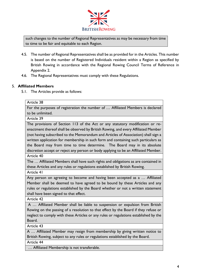

such changes to the number of Regional Representatives as may be necessary from time to time to be fair and equitable to each Region.

- 4.5. The number of Regional Representatives shall be as provided for in the Articles. This number is based on the number of Registered Individuals resident within a Region as specified by British Rowing in accordance with the Regional Rowing Council Terms of Reference in Appendix 2.
- 4.6. The Regional Representatives must comply with these Regulations.

#### 5. **Affiliated Members**

5.1. The Articles provide as follows:

| Article 38                                                                           |
|--------------------------------------------------------------------------------------|
| For the purposes of registration the number of  Affiliated Members is declared       |
| to be unlimited.                                                                     |
| Article 39                                                                           |
| The provisions of Section 113 of the Act or any statutory modification or re-        |
| enactment thereof shall be observed by British Rowing, and every Affiliated Member   |
| (not having subscribed to the Memorandum and Articles of Association) shall sign a   |
| written application for membership in such form and containing such particulars as   |
| the Board may from time to time determine. The Board may in its absolute             |
| discretion accept or reject any person or body applying to be an Affiliated Member.  |
| Article 40                                                                           |
| The  Affiliated Members shall have such rights and obligations as are contained in   |
| these Articles and any rules or regulations established by British Rowing.           |
| Article 41                                                                           |
| Any person on agreeing to become and having been accepted as a  Affiliated           |
| Member shall be deemed to have agreed to be bound by these Articles and any          |
| rules or regulations established by the Board whether or not a written statement     |
| shall have been signed to that effect.                                               |
| Article 42                                                                           |
| A  Affiliated Member shall be liable to suspension or expulsion from British         |
| Rowing on the passing of a resolution to that effect by the Board if they refuse or  |
| neglect to comply with these Articles or any rules or regulations established by the |
| Board.                                                                               |
| Article 43                                                                           |
| A  Affiliated Member may resign from membership by giving written notice to          |
| British Rowing, subject to any rules or regulations established by the Board.        |
| Article 44                                                                           |

… Affiliated Membership is not transferable.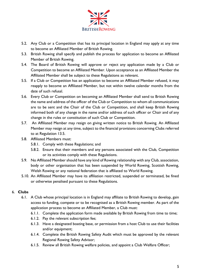

- 5.2. Any Club or a Competition that has its principal location in England may apply at any time to become an Affiliated Member of British Rowing.
- 5.3. British Rowing shall specify and publish the process for application to become an Affiliated Member of British Rowing.
- 5.4. The Board of British Rowing will approve or reject any application made by a Club or Competition to become an Affiliated Member. Upon acceptance as an Affiliated Member the Affiliated Member shall be subject to these Regulations as relevant.
- 5.5. If a Club or Competition has an application to become an Affiliated Member refused, it may reapply to become an Affiliated Member, but not within twelve calendar months from the date of such refusal.
- 5.6. Every Club or Competition on becoming an Affiliated Member shall send to British Rowing the name and address of the officer of the Club or Competition to whom all communications are to be sent and the Chair of the Club or Competition, and shall keep British Rowing informed both of any change in the name and/or address of such officer or Chair and of any change in the rules or constitution of such Club or Competition.
- 5.7. An Affiliated Member may resign on giving written notice to British Rowing. An Affiliated Member may resign at any time, subject to the financial provisions concerning Clubs referred to at Regulation 13.5.
- 5.8. Affiliated Members must:
	- 5.8.1. Comply with these Regulations; and
	- 5.8.2. Ensure that their members and any persons associated with the Club, Competition or its activities comply with these Regulations.
- 5.9. No Affiliated Member should have any kind of Rowing relationship with any Club, association, body or other organisation that has been suspended by World Rowing, Scottish Rowing, Welsh Rowing or any national federation that is affiliated to World Rowing.
- 5.10. An Affiliated Member may have its affiliation restricted, suspended or terminated, be fined or otherwise penalised pursuant to these Regulations.

#### 6. **Clubs**

- 6.1. A Club whose principal location is in England may affiliate to British Rowing to develop, gain access to funding, compete or to be recognised as a British Rowing member. As part of the application process to become an Affiliated Member, a Club must:
	- 6.1.1. Complete the application form made available by British Rowing from time to time;
	- 6.1.2. Pay the relevant subscription fee;
	- 6.1.3. Have a designated boating base, or permission from a host Club to use their facilities and/or equipment;
	- 6.1.4. Complete the British Rowing Safety Audit which must be approved by the relevant Regional Rowing Safety Advisor;
	- 6.1.5. Review all British Rowing welfare policies, and appoint a Club Welfare Officer;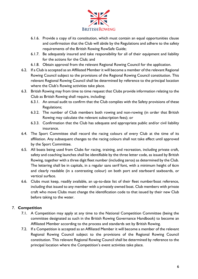

- 6.1.6. Provide a copy of its constitution, which must contain an equal opportunities clause and confirmation that the Club will abide by the Regulations and adhere to the safety requirements of the British Rowing RowSafe Guide;
- 6.1.7. Be adequately insured and take responsibility for all of their equipment and liability for the actions for the Club; and
- 6.1.8. Obtain approval from the relevant Regional Rowing Council for the application.
- 6.2. If a Club is accepted as an Affiliated Member it will become a member of the relevant Regional Rowing Council subject to the provisions of the Regional Rowing Council constitution. This relevant Regional Rowing Council shall be determined by reference to the principal location where the Club's Rowing activities take place.
- 6.3. British Rowing may from time to time request that Clubs provide information relating to the Club as British Rowing shall require, including:
	- 6.3.1. An annual audit to confirm that the Club complies with the Safety provisions of these Regulations;
	- 6.3.2. The number of Club members both rowing and non-rowing (in order that British Rowing may calculate the relevant subscription fees); or
	- 6.3.3. Confirmation that the Club has adequate and appropriate public and/or civil liability insurance.
- 6.4. The Sport Committee shall record the racing colours of every Club at the time of its affiliation. Any subsequent changes to the racing colours shall not take effect until approved by the Sport Committee.
- 6.5. All boats being used from Clubs for racing, training, and recreation, including private craft, safety and coaching launches shall be identifiable by the three letter code, as issued by British Rowing, together with a three digit fleet number (including zeros) as determined by the Club. The lettering shall be in capitals, in a regular sans serif font, with a minimum height of 6cm and clearly readable (in a contrasting colour) on both port and starboard saxboards, or vertical surface.
- 6.6. Clubs must keep, readily available, an up-to-date list of their fleet number/boat reference, including that issued to any member with a privately owned boat. Club members with private craft who move Clubs must change the identification code to that issued by their new Club before taking to the water.

#### 7. **Competition**

- 7.1. A Competition may apply at any time to the National Competition Committee (being the committee designated as such in the British Rowing Governance Handbook) to become an Affiliated Member according to the process and standards set by British Rowing.
- 7.2. If a Competition is accepted as an Affiliated Member it will become a member of the relevant Regional Rowing Council subject to the provisions of the Regional Rowing Council constitution. This relevant Regional Rowing Council shall be determined by reference to the principal location where the Competition's event activities take place.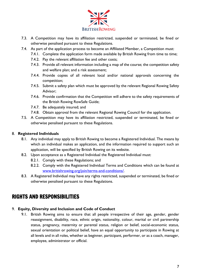

- 7.3. A Competition may have its affiliation restricted, suspended or terminated, be fined or otherwise penalised pursuant to these Regulations.
- 7.4. As part of the application process to become an Affiliated Member, a Competition must:
	- 7.4.1. Complete the application form made available by British Rowing from time to time;
	- 7.4.2. Pay the relevant affiliation fee and other costs;
	- 7.4.3. Provide all relevant information including a map of the course; the competition safety and welfare plan; and a risk assessment;
	- 7.4.4. Provide copies of all relevant local and/or national approvals concerning the competition;
	- 7.4.5. Submit a safety plan which must be approved by the relevant Regional Rowing Safety Advisor;
	- 7.4.6. Provide confirmation that the Competition will adhere to the safety requirements of the British Rowing RowSafe Guide;
	- 7.4.7. Be adequately insured; and
	- 7.4.8. Obtain approval from the relevant Regional Rowing Council for the application.
- 7.5. A Competition may have its affiliation restricted, suspended or terminated, be fined or otherwise penalised pursuant to these Regulations.

#### 8. **Registered Individuals**

- 8.1. Any individual may apply to British Rowing to become a Registered Individual. The means by which an individual makes an application, and the information required to support such an application, will be specified by British Rowing on its website.
- 8.2. Upon acceptance as a Registered Individual the Registered Individual must:
	- 8.2.1. Comply with these Regulations; and
	- 8.2.2. Comply with the Registered Individual Terms and Conditions which can be found at [www.britishrowing.org/join/terms-and-conditions/.](http://www.britishrowing.org/join/terms-and-conditions/)
- 8.3. A Registered Individual may have any rights restricted, suspended or terminated, be fined or otherwise penalised pursuant to these Regulations.

## RIGHTS AND RESPONSIBILITIES

#### 9. **Equity, Diversity and Inclusion and Code of Conduct**

9.1. British Rowing aims to ensure that all people irrespective of their age, gender, gender reassignment, disability, race, ethnic origin, nationality, colour, marital or civil partnership status, pregnancy, maternity or parental status, religion or belief, social-economic status, sexual orientation or political belief, have an equal opportunity to participate in Rowing at all levels and in all roles, whether as beginner, participant, performer, or as a coach, manager, employee, administrator or official.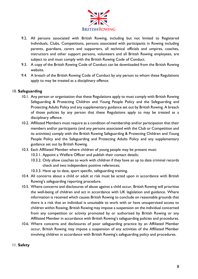

- 9.2. All persons associated with British Rowing, including but not limited to Registered Individuals, Clubs, Competitions, persons associated with participants in Rowing including parents, guardians, carers and supporters, all technical officials and umpires, coaches, instructors and other support persons, volunteers and all British Rowing employees, are subject to and must comply with the British Rowing Code of Conduct.
- 9.3. A copy of the British Rowing Code of Conduct can be downloaded from the British Rowing website.
- 9.4. A breach of the British Rowing Code of Conduct by any person to whom these Regulations apply to may be treated as a disciplinary offence.

#### 10. **Safeguarding**

- 10.1. Any person or organisation that these Regulations apply to must comply with British Rowing Safeguarding & Protecting Children and Young People Policy and the Safeguarding and Protecting Adults Policy and any supplementary guidance set out by British Rowing. A breach of those policies by any person that these Regulations apply to may be treated as a disciplinary offence.
- 10.2. Affiliated Members must require as a condition of membership and/or participation that their members and/or participants (and any persons associated with the Club or Competition and its activities) comply with the British Rowing Safeguarding & Protecting Children and Young People Policy and the Safeguarding and Protecting Adults Policy and any supplementary guidance set out by British Rowing.
- 10.3. Each Affiliated Member where children of young people may be present must:
	- 10.3.1. Appoint a Welfare Officer and publish their contact details;
	- 10.3.2. Only allow coaches to work with children if they have an up to date criminal records check and two independent positive references;
	- 10.3.3. Have up to date, sport specific, safeguarding training.
- 10.4. All concerns about a child or adult at risk must be acted upon in accordance with British Rowing's safeguarding reporting procedure.
- 10.5. Where concerns and disclosures of abuse against a child occur, British Rowing will prioritise the well-being of children and act in accordance with UK legislation and guidance. Where information is received which causes British Rowing to conclude on reasonable grounds that there is a risk that an individual is unsuitable to work with or have unsupervised access to children within Rowing, British Rowing may impose a suspension on the individual concerned from any competition or activity promoted by or authorised by British Rowing or any Affiliated Member in accordance with British Rowing's safeguarding policies and procedures.
- 10.6. Where concerns and disclosures of poor safeguarding practice by an Affiliated Member occur, British Rowing may impose a suspension of any activities of the Affiliated Member involving children in accordance with British Rowing's safeguarding policy and procedures.

#### 11. **Safety**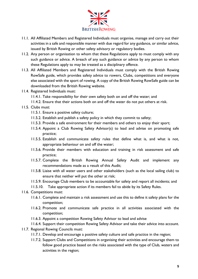

- 11.1. All Affiliated Members and Registered Individuals must organise, manage and carry out their activities in a safe and responsible manner with due regard for any guidance, or similar advice, issued by British Rowing or other safety advisory or regulatory bodies.
- 11.2. Any person or organisation to whom that these Regulations apply to must comply with any such guidance or advice. A breach of any such guidance or advice by any person to whom these Regulations apply to may be treated as a disciplinary offence.
- 11.3. All Affiliated Members and Registered Individuals must comply with the British Rowing RowSafe guide, which provides safety advice to rowers, Clubs, competitions and everyone else associated with the sport of rowing. A copy of the British Rowing RowSafe guide can be downloaded from the British Rowing website.
- 11.4. Registered Individuals must:
	- 11.4.1. Take responsibility for their own safety both on and off the water; and
	- 11.4.2. Ensure that their actions both on and off the water do not put others at risk.

#### 11.5. Clubs must:

- 11.5.1. Ensure a positive safety culture;
- 11.5.2. Establish and publish a safety policy in which they commit to safety;
- 11.5.3. Provide a safe environment for their members and others to enjoy their sport;
- 11.5.4. Appoint a Club Rowing Safety Advisor(s) to lead and advise on promoting safe practice;
- 11.5.5. Establish and communicate safety rules that define what is, and what is not, appropriate behaviour on and off the water;
- 11.5.6. Provide their members with education and training in risk assessment and safe practice;
- 11.5.7. Complete the British Rowing Annual Safety Audit and implement any recommendations made as a result of this Audit;
- 11.5.8. Liaise with all water users and other stakeholders (such as the local sailing club) to ensure that neither will put the other at risk;
- 11.5.9. Encourage Club members to be accountable for safety and report all incidents; and
- 11.5.10. Take appropriate action if its members fail to abide by its Safety Rules.
- 11.6. Competitions must:
	- 11.6.1. Complete and maintain a risk assessment and use this to define it safety plans for the competition;
	- 11.6.2. Promote and communicate safe practice in all activities associated with the competition;
	- 11.6.3. Appoint a competition Rowing Safety Advisor to lead and advise
	- 11.6.4. Support their competition Rowing Safety Advisor and take their advice into account.
- 11.7. Regional Rowing Councils must:
	- 11.7.1. Develop and encourage a positive safety culture and safe practice in the region;
	- 11.7.2. Support Clubs and Competitions in organising their activities and encourage them to follow good practice based on the risks associated with the type of Club, waters and activities in the region;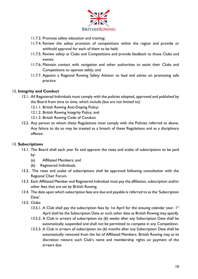

- 11.7.3. Promote safety education and training;
- 11.7.4. Review the safety provision of competitions within the region and provide or withhold approval for each of them to be held;
- 11.7.5. Review safety at Clubs and Competitions and provide feedback to those Clubs and events;
- 11.7.6. Maintain contact with navigation and other authorities to assist their Clubs and Competitions to operate safely; and
- 11.7.7. Appoint a Regional Rowing Safety Advisor to lead and advise on promoting safe practice.

#### 12. **Integrity and Conduct**

- 12.1. All Registered Individuals must comply with the policies adopted, approved and published by the Board from time to time, which include (but are not limited to):
	- 12.1.1. British Rowing Anti-Doping Policy;
	- 12.1.2. British Rowing Integrity Policy; and
	- 12.1.3. British Rowing Code of Conduct
- 12.2. Any person to whom these Regulations must comply with the Policies referred to above. Any failure to do so may be treated as a breach of these Regulations and as a disciplinary offence.

#### 13. **Subscriptions**

- 13.1. The Board shall each year fix and approve the rates and scales of subscriptions to be paid by:
	- (a) Affiliated Members; and
	- (b) Registered Individuals.
- 13.2. The rates and scales of subscriptions shall be approved following consultation with the Regional Chair Forum.
- 13.3. Each Affiliated Member and Registered Individual must pay the affiliation, subscription and/or other fees that are set by British Rowing.
- 13.4. The date upon which subscription fees are due and payable is referred to as the 'Subscription Date'.
- 13.5. Clubs:
	- 13.5.1. A Club shall pay the subscription fees by 1st April for the ensuing calendar year.  $1^{st}$ April shall be the Subscription Date or such other date as British Rowing may specify.
	- 13.5.2. A Club in arrears of subscription six (6) weeks after any Subscription Date shall be automatically suspended and shall not be permitted to compete in any Competition.
	- 13.5.3. A Club in arrears of subscription six (6) months after any Subscription Date shall be automatically removed from the list of Affiliated Members. British Rowing may at its discretion restore such Club's name and membership rights on payment of the arrears due.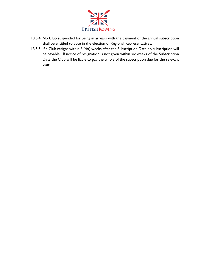

- 13.5.4. No Club suspended for being in arrears with the payment of the annual subscription shall be entitled to vote in the election of Regional Representatives.
- 13.5.5. If a Club resigns within 6 (six) weeks after the Subscription Date no subscription will be payable. If notice of resignation is not given within six weeks of the Subscription Date the Club will be liable to pay the whole of the subscription due for the relevant year.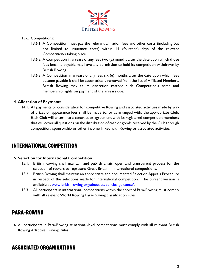

- 13.6. Competitions:
	- 13.6.1. A Competition must pay the relevant affiliation fees and other costs (including but not limited to insurance costs) within 14 (fourteen) days of the relevant Competition/s taking place.
	- 13.6.2. A Competition in arrears of any fees two (2) months after the date upon which those fees became payable may have any permission to hold its competition withdrawn by British Rowing.
	- 13.6.3. A Competition in arrears of any fees six (6) months after the date upon which fees became payable it shall be automatically removed from the list of Affiliated Members. British Rowing may at its discretion restore such Competition's name and membership rights on payment of the arrears due.

#### 14. **Allocation of Payments**

14.1. All payments or consideration for competitive Rowing and associated activities made by way of prizes or appearance fees shall be made to, or as arranged with, the appropriate Club. Each Club will enter into a contract or agreement with its registered competition members that will cover all questions on the distribution of cash or goods received by the Club through competition, sponsorship or other income linked with Rowing or associated activities.

## INTERNATIONAL COMPETITION

#### 15. **Selection for International Competition**

- 15.1. British Rowing shall maintain and publish a fair, open and transparent process for the selection of rowers to represent Great Britain in international competitions.
- 15.2. British Rowing shall maintain an appropriate and documented Selection Appeals Procedure in respect of the selections made for international competition. The current version is available at [www.britishrowing.org/about-us/policies-guidance/.](http://www.britishrowing.org/about-us/policies-guidance/)
- 15.3. All participants in international competitions within the sport of Para-Rowing must comply with all relevant World Rowing Para-Rowing classification rules.

## PARA-ROWING

16. All participants in Para-Rowing at national-level competitions must comply with all relevant British Rowing Adaptive Rowing Rules.

## ASSOCIATED ORGANISATIONS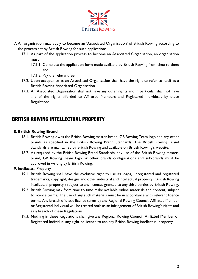

- 17. An organisation may apply to become an 'Associated Organisation' of British Rowing according to the process set by British Rowing for such applications.
	- 17.1. As part of the application process to become an Associated Organisation, an organisation must:
		- 17.1.1. Complete the application form made available by British Rowing from time to time; and
		- 17.1.2. Pay the relevant fee.
	- 17.2. Upon acceptance as an Associated Organisation shall have the right to refer to itself as a British Rowing Associated Organisation.
	- 17.3. An Associated Organisation shall not have any other rights and in particular shall not have any of the rights afforded to Affiliated Members and Registered Individuals by these Regulations.

## BRITISH ROWING INTELLECTUAL PROPERTY

#### 18. **British Rowing Brand**

- 18.1. British Rowing owns the British Rowing master-brand, GB Rowing Team logo and any other brands as specified in the British Rowing Brand Standards. The British Rowing Brand Standards are maintained by British Rowing and available on British Rowing's website.
- 18.2. As required by the British Rowing Brand Standards, any use of the British Rowing masterbrand, GB Rowing Team logo or other brands configurations and sub-brands must be approved in writing by British Rowing.
- 19. Intellectual Property
	- 19.1. British Rowing shall have the exclusive right to use its logos, unregistered and registered trademarks, copyright, designs and other industrial and intellectual property ('British Rowing intellectual property') subject to any licences granted to any third parties by British Rowing.
	- 19.2. British Rowing may from time to time make available online materials and content, subject to licence terms. The use of any such materials must be in accordance with relevant licence terms. Any breach of those licence terms by any Regional Rowing Council, Affiliated Member or Registered Individual will be treated both as an infringement of British Rowing's rights and as a breach of these Regulations.
	- 19.3. Nothing in these Regulations shall give any Regional Rowing Council, Affiliated Member or Registered Individual any right or licence to use any British Rowing intellectual property.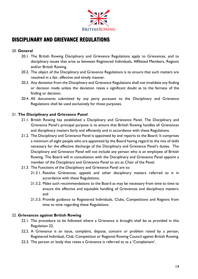

## DISCIPLINARY AND GRIEVANCE REGULATIONS

#### 20. **General**

- 20.1. The British Rowing Disciplinary and Grievance Regulations apply to Grievances, and to disciplinary issues that arise as between Registered Individuals, Affiliated Members, Regions and/or British Rowing.
- 20.2. The object of the Disciplinary and Grievance Regulations is to ensure that such matters are resolved in a fair, effective and timely manner.
- 20.3. Any deviation from the Disciplinary and Grievance Regulations shall not invalidate any finding or decision made unless the deviation raises a significant doubt as to the fairness of the finding or decision.
- 20.4. All documents submitted by any party pursuant to the Disciplinary and Grievance Regulations shall be used exclusively for those purposes.

#### 21. **The Disciplinary and Grievance Panel**

- 21.1. British Rowing has established a Disciplinary and Grievance Panel. The Disciplinary and Grievance Panel's principal purpose is to ensure that British Rowing handles all Grievances and disciplinary matters fairly and efficiently and in accordance with these Regulations.
- 21.2. The Disciplinary and Grievance Panel is appointed by and reports to the Board. It comprises a minimum of eight people who are appointed by the Board having regard to the mix of skills necessary for the effective discharge of the Disciplinary and Grievance Panel's duties. The Disciplinary and Grievance Panel will not include any person who is an employee of British Rowing. The Board will in consultation with the Disciplinary and Grievance Panel appoint a member of the Disciplinary and Grievance Panel to act as Chair of the Panel.
- 21.3. The Functions of the Disciplinary and Grievance Panel are to:
	- 21.3.1. Resolve Grievances, appeals and other disciplinary matters referred to it in accordance with these Regulations;
	- 21.3.2. Make such recommendations to the Board as may be necessary from time to time to ensure the effective and equitable handling of Grievances and disciplinary matters; and
	- 21.3.3. Provide guidance to Registered Individuals, Clubs, Competitions and Regions from time to time regarding these Regulations.

#### 22. **Grievances against British Rowing**

- 22.1. The procedure to be followed where a Grievance is brought shall be as provided in this Regulation 22.
- 22.2. A Grievance is an issue, complaint, dispute, concern or problem raised by a person, Registered Individual, Club, Competition or Regional Rowing Council against British Rowing.
- 22.3. The person or body that raises a Grievance is referred to as a 'Complainant'.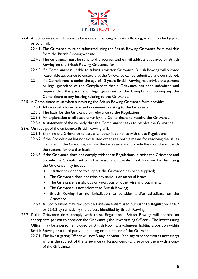

- 22.4. A Complainant must submit a Grievance in writing to British Rowing, which may be by post or by email.
	- 22.4.1. The Grievance must be submitted using the British Rowing Grievance form available from the British Rowing website.
	- 22.4.2. The Grievance must be sent to the address and e-mail address stipulated by British Rowing on the British Rowing Grievance form.
	- 22.4.3. If a Complainant is unable to submit a written Grievance, British Rowing will provide reasonable assistance to ensure that the Grievance can be submitted and considered.
	- 22.4.4. If a Complainant is under the age of 18 years British Rowing may advise the parents or legal guardians of the Complainant that a Grievance has been submitted and require that the parents or legal guardians of the Complainant accompany the Complainant at any hearing relating to the Grievance.
- 22.5. A Complainant must when submitting the British Rowing Grievance form provide:
	- 22.5.1. All relevant information and documents relating to the Grievance;
	- 22.5.2. The basis for the Grievance by reference to the Regulations;
	- 22.5.3. An explanation of all steps taken by the Complainant to resolve the Grievance;
	- 22.5.4. A statement of the remedy that the Complainant seeks to resolve the Grievance.
- 22.6. On receipt of the Grievance British Rowing will:
	- 22.6.1. Examine the Grievance to assess whether it complies with these Regulations;
	- 22.6.2. If the Complainant has not exhausted other reasonable means for resolving the issues identified in the Grievance, dismiss the Grievance and provide the Complainant with the reasons for the dismissal;
	- 22.6.3. If the Grievance does not comply with these Regulations, dismiss the Grievance and provide the Complainant with the reasons for the dismissal. Reasons for dismissing the Grievance may include:
		- Insufficient evidence to support the Grievance has been supplied;
		- The Grievance does not raise any serious or material issues;
		- The Grievance is malicious or vexatious or otherwise without merit;
		- The Grievance is not relevant to British Rowing;
		- British Rowing has no jurisdiction to consider and/or adjudicate on the Grievance.
	- 22.6.4. A Complainant may re-submit a Grievance dismissed pursuant to Regulation 22.6.2 or 22.6.3 by remedying the defects identified by British Rowing.
- 22.7. If the Grievance does comply with these Regulations, British Rowing will appoint an appropriate person to consider the Grievance ('the Investigating Officer'). The Investigating Officer may be a person employed by British Rowing, a volunteer holding a position within British Rowing or a third party, depending on the nature of the Grievance.
	- 22.7.1. The Investigating Officer will notify any individual (and any other person as necessary) who is the subject of the Grievance (a 'Respondent') and provide them with a copy of the Grievance.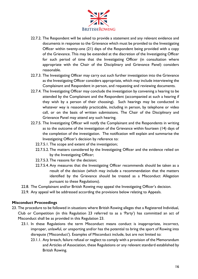

- 22.7.2. The Respondent will be asked to provide a statement and any relevant evidence and documents in response to the Grievance which must be provided to the Investigating Officer within twenty-one (21) days of the Respondent being provided with a copy of the Grievance. This may be extended at the discretion of the Investigating Officer for such period of time that the Investigating Officer (in consultation where appropriate with the Chair of the Disciplinary and Grievance Panel) considers reasonable.
- 22.7.3. The Investigating Officer may carry out such further investigation into the Grievance as the Investigating Officer considers appropriate, which may include interviewing the Complainant and Respondent in person, and requesting and reviewing documents.
- 22.7.4. The Investigating Officer may conclude the investigation by convening a hearing to be attended by the Complainant and the Respondent (accompanied at such a hearing if they wish by a person of their choosing). Such hearings may be conducted in whatever way is reasonably practicable, including in person, by telephone or video call, or on the basis of written submissions. The Chair of the Disciplinary and Grievance Panel may attend any such hearing.
- 22.7.5. The Investigating Officer will notify the Complainant and the Respondents in writing as to the outcome of the investigation of the Grievance within fourteen (14) days of the completion of the investigation. The notification will explain and summarise the Investigating Officer's decision by reference to:
	- 22.7.5.1. The scope and extent of the investigation;
	- 22.7.5.2. The matters considered by the Investigating Officer and the evidence relied on by the Investigating Officer;
	- 22.7.5.3. The reasons for the decision;
	- 22.7.5.4. Any measures that the Investigating Officer recommends should be taken as a result of the decision (which may include a recommendation that the matters identified by the Grievance should be treated as a Misconduct Allegation pursuant to these Regulations).
- 22.8. The Complainant and/or British Rowing may appeal the Investigating Officer's decision.
- 22.9. Any appeal will be addressed according the provisions below relating to Appeals.

#### **Misconduct Proceedings**

- 23. The procedure to be followed in situations where British Rowing alleges that a Registered Individual, Club or Competition (in this Regulation 23 referred to as a 'Party') has committed an act of Misconduct shall be as provided in this Regulation 23.
	- 23.1. In these Regulations the term Misconduct means conduct is inappropriate, incorrect, improper, unlawful, or unsporting and/or has the potential to bring the sport of Rowing into disrepute ('Misconduct'). Examples of Misconduct include, but are not limited to:
		- 23.1.1. Any breach, failure refusal or neglect to comply with a provision of the Memorandum and Articles of Association, these Regulations or any relevant standard established by British Rowing.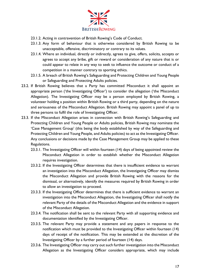

- 23.1.2. Acting in contravention of British Rowing's Code of Conduct.
- 23.1.3. Any form of behaviour that is otherwise considered by British Rowing to be unacceptable, offensive, discriminatory or contrary to its values.
- 23.1.4. Where an individual, directly or indirectly, agrees to give, offers, solicits, accepts or agrees to accept any bribe, gift or reward or consideration of any nature that is or could appear to relate in any way to seek to influence the outcome or conduct of a competition in a manner contrary to sporting ethics.
- 23.1.5. A breach of British Rowing's Safeguarding and Protecting Children and Young People or Safeguarding and Protecting Adults policies.
- 23.2. If British Rowing believes that a Party has committed Misconduct it shall appoint an appropriate person ('the Investigating Officer') to consider the allegation ('the Misconduct Allegation). The Investigating Officer may be a person employed by British Rowing, a volunteer holding a position within British Rowing or a third party, depending on the nature and seriousness of the Misconduct Allegation. British Rowing may appoint a panel of up to three persons to fulfil the role of Investigating Officer.
- 23.3. If the Misconduct Allegation arises in connection with British Rowing's Safeguarding and Protecting Children and Young People or Adults policies, British Rowing may nominate the 'Case Management Group' (this being the body established by way of the Safeguarding and Protecting Children and Young People, and Adults policies) to act as the Investigating Officer. Any conclusions or decisions made by the Case Management Group may be applied to these Regulations.
	- 23.3.1. The Investigating Officer will within fourteen (14) days of being appointed review the Misconduct Allegation in order to establish whether the Misconduct Allegation requires investigation.
	- 23.3.2. If the Investigating Officer determines that there is insufficient evidence to warrant an investigation into the Misconduct Allegation, the Investigating Officer may dismiss the Misconduct Allegation and provide British Rowing with the reasons for the dismissal, or alternatively, identify the measures required by British Rowing in order to allow an investigation to proceed.
	- 23.3.3. If the Investigating Officer determines that there is sufficient evidence to warrant an investigation into the Misconduct Allegation, the Investigating Officer shall notify the relevant Party of the details of the Misconduct Allegation and the evidence in support of the Misconduct Allegation.
	- 23.3.4. The notification shall be sent to the relevant Party with all supporting evidence and documentation identified by the Investigating Officer.
	- 23.3.5. The relevant Party may provide a statement and any papers in response to the notification which must be provided to the Investigating Officer within fourteen (14) days of receipt of the notification. This may be extended at the discretion of the Investigating Officer by a further period of fourteen (14) days.
	- 23.3.6. The Investigating Officer may carry out such further investigation into the Misconduct Allegation as the Investigating Officer considers appropriate, which may include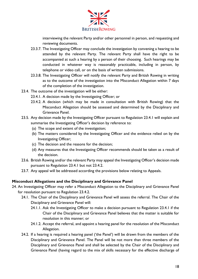

interviewing the relevant Party and/or other personnel in person, and requesting and reviewing documents.

- 23.3.7. The Investigating Officer may conclude the investigation by convening a hearing to be attended by the relevant Party. The relevant Party shall have the right to be accompanied at such a hearing by a person of their choosing. Such hearings may be conducted in whatever way is reasonably practicable, including in person, by telephone or video call, or on the basis of written submissions.
- 23.3.8. The Investigating Officer will notify the relevant Party and British Rowing in writing as to the outcome of the investigation into the Misconduct Allegation within 7 days of the completion of the investigation.
- 23.4. The outcome of the investigation will be either:
	- 23.4.1. A decision made by the Investigating Officer; or
	- 23.4.2. A decision (which may be made in consultation with British Rowing) that the Misconduct Allegation should be assessed and determined by the Disciplinary and Grievance Panel.
- 23.5. Any decision made by the Investigating Officer pursuant to Regulation 23.4.1 will explain and summarise the Investigating Officer's decision by reference to:
	- (a) The scope and extent of the investigation;
	- (b) The matters considered by the Investigating Officer and the evidence relied on by the Investigating Officer;
	- (c) The decision and the reasons for the decision;
	- (d) Any measures that the Investigating Officer recommends should be taken as a result of the decision.
- 23.6. British Rowing and/or the relevant Party may appeal the Investigating Officer's decision made pursuant to Regulation 23.4.1 but not 23.4.2.
- 23.7. Any appeal will be addressed according the provisions below relating to Appeals.

#### **Misconduct Allegations and the Disciplinary and Grievance Panel**

- 24. An Investigating Officer may refer a Misconduct Allegation to the Disciplinary and Grievance Panel for resolution pursuant to Regulation 23.4.2.
	- 24.1. The Chair of the Disciplinary and Grievance Panel will assess the referral. The Chair of the Disciplinary and Grievance Panel will:
		- 24.1.1. Ask the Investigating Officer to make a decision pursuant to Regulation 23.4.1 if the Chair of the Disciplinary and Grievance Panel believes that the matter is suitable for resolution in this manner; or
		- 24.1.2. Accept the referral, and appoint a hearing panel for the resolution of the Misconduct Allegation.
	- 24.2. If a hearing is required a hearing panel ('the Panel') will be drawn from the members of the Disciplinary and Grievance Panel. The Panel will be not more than three members of the Disciplinary and Grievance Panel and shall be selected by the Chair of the Disciplinary and Grievance Panel (having regard to the mix of skills necessary for the effective discharge of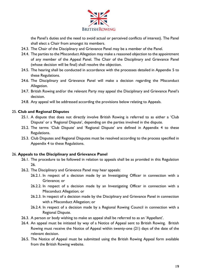

the Panel's duties and the need to avoid actual or perceived conflicts of interest). The Panel shall elect a Chair from amongst its members.

- 24.3. The Chair of the Disciplinary and Grievance Panel may be a member of the Panel.
- 24.4. The parties to the Misconduct Allegation may make a reasoned objection to the appointment of any member of the Appeal Panel. The Chair of the Disciplinary and Grievance Panel (whose decision will be final) shall resolve the objection.
- 24.5. The hearing shall be conducted in accordance with the processes detailed in Appendix 5 to these Regulations.
- 24.6. The Disciplinary and Grievance Panel will make a decision regarding the Misconduct Allegation.
- 24.7. British Rowing and/or the relevant Party may appeal the Disciplinary and Grievance Panel's decision.
- 24.8. Any appeal will be addressed according the provisions below relating to Appeals.

#### 25. **Club and Regional Disputes**

- 25.1. A dispute that does not directly involve British Rowing is referred to as either a 'Club Dispute' or a 'Regional Dispute', depending on the parties involved in the dispute.
- 25.2. The terms 'Club Dispute' and 'Regional Dispute' are defined in Appendix 4 to these Regulations.
- 25.3. Club Disputes and Regional Disputes must be resolved according to the process specified in Appendix 4 to these Regulations.

#### 26. **Appeals to the Disciplinary and Grievance Panel**

- 26.1. The procedure to be followed in relation to appeals shall be as provided in this Regulation 26.
- 26.2. The Disciplinary and Grievance Panel may hear appeals:
	- 26.2.1. In respect of a decision made by an Investigating Officer in connection with a Grievance; or
	- 26.2.2. In respect of a decision made by an Investigating Officer in connection with a Misconduct Allegation; or
	- 26.2.3. In respect of a decision made by the Disciplinary and Grievance Panel in connection with a Misconduct Allegation; or
	- 26.2.4. In respect of a decision made by a Regional Rowing Council in connection with a Regional Dispute.
- 26.3. A person or body wishing to make an appeal shall be referred to as an 'Appellant'.
- 26.4. An appeal must be initiated by way of a Notice of Appeal sent to British Rowing. British Rowing must receive the Notice of Appeal within twenty-one (21) days of the date of the relevant decision.
- 26.5. The Notice of Appeal must be submitted using the British Rowing Appeal form available from the British Rowing website.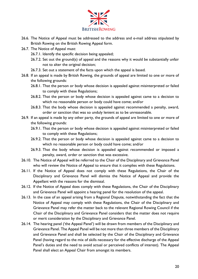

- 26.6. The Notice of Appeal must be addressed to the address and e-mail address stipulated by British Rowing on the British Rowing Appeal form.
- 26.7. The Notice of Appeal must:
	- 26.7.1. Identify the specific decision being appealed;
	- 26.7.2. Set out the ground(s) of appeal and the reasons why it would be substantially unfair not to alter the original decision;
	- 26.7.3. Set out a statement of the facts upon which the appeal is based.
- 26.8. If an appeal is made by British Rowing, the grounds of appeal are limited to one or more of the following grounds:
	- 26.8.1. That the person or body whose decision is appealed against misinterpreted or failed to comply with these Regulations;
	- 26.8.2. That the person or body whose decision is appealed against came to a decision to which no reasonable person or body could have come; and/or
	- 26.8.3. That the body whose decision is appealed against recommended a penalty, award, order or sanction that was so unduly lenient as to be unreasonable.
- 26.9. If an appeal is made by any other party, the grounds of appeal are limited to one or more of the following grounds:
	- 26.9.1. That the person or body whose decision is appealed against misinterpreted or failed to comply with these Regulations;
	- 26.9.2. That the person or body whose decision is appealed against came to a decision to which no reasonable person or body could have come; and/or
	- 26.9.3. That the body whose decision is appealed against recommended or imposed a penalty, award, order or sanction that was excessive.
- 26.10. The Notice of Appeal will be referred to the Chair of the Disciplinary and Grievance Panel who will review the Notice of Appeal to ensure that it complies with these Regulations.
- 26.11. If the Notice of Appeal does not comply with these Regulations, the Chair of the Disciplinary and Grievance Panel will dismiss the Notice of Appeal and provide the Appellant with the reasons for the dismissal.
- 26.12. If the Notice of Appeal does comply with these Regulations, the Chair of the Disciplinary and Grievance Panel will appoint a hearing panel for the resolution of the appeal.
- 26.13. In the case of an appeal arising from a Regional Dispute, notwithstanding the fact that the Notice of Appeal may comply with these Regulations, the Chair of the Disciplinary and Grievance Panel may refer the matter back to the relevant Regional Rowing Council if the Chair of the Disciplinary and Grievance Panel considers that the matter does not require or merit consideration by the Disciplinary and Grievance Panel.
- 26.14. The hearing panel ('the Appeal Panel') will be drawn from members of the Disciplinary and Grievance Panel. The Appeal Panel will be not more than three members of the Disciplinary and Grievance Panel and shall be selected by the Chair of the Disciplinary and Grievance Panel (having regard to the mix of skills necessary for the effective discharge of the Appeal Panel's duties and the need to avoid actual or perceived conflicts of interest). The Appeal Panel shall elect an Appeal Chair from amongst its members.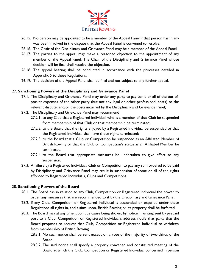

- 26.15. No person may be appointed to be a member of the Appeal Panel if that person has in any way been involved in the dispute that the Appeal Panel is convened to resolve.
- 26.16. The Chair of the Disciplinary and Grievance Panel may be a member of the Appeal Panel.
- 26.17. The parties to the appeal may make a reasoned objection to the appointment of any member of the Appeal Panel. The Chair of the Disciplinary and Grievance Panel whose decision will be final shall resolve the objection.
- 26.18. The appeal hearing shall be conducted in accordance with the processes detailed in Appendix 5 to these Regulations.
- 26.19. The decision of the Appeal Panel shall be final and not subject to any further appeal.

#### 27. **Sanctioning Powers of the Disciplinary and Grievance Panel**

- 27.1. The Disciplinary and Grievance Panel may order any party to pay some or all of the out-ofpocket expenses of the other party (but not any legal or other professional costs) to the relevant dispute; and/or the costs incurred by the Disciplinary and Grievance Panel;
- 27.2. The Disciplinary and Grievance Panel may recommend
	- 27.2.1. to any Club that a Registered Individual who is a member of that Club be suspended from membership of that Club or that membership be terminated;
	- 27.2.2. to the Board that the rights enjoyed by a Registered Individual be suspended or that the Registered Individual shall have those rights terminated;
	- 27.2.3. to the Board that a Club or Competition be suspended as an Affiliated Member of British Rowing or that the Club or Competition's status as an Affiliated Member be terminated;
	- 27.2.4. to the Board that appropriate measures be undertaken to give effect to any suspension.
- 27.3. A failure by a Registered Individual, Club or Competition to pay any sum ordered to be paid by Disciplinary and Grievance Panel may result in suspension of some or all of the rights afforded to Registered Individuals, Clubs and Competitions.

#### 28. **Sanctioning Powers of the Board**

- 28.1. The Board has in relation to any Club, Competition or Registered Individual the power to order any measures that are recommended to it by the Disciplinary and Grievance Panel.
- 28.2. If any Club, Competition or Registered Individual is suspended or expelled under these Regulations all rights in, and claims upon, British Rowing or its property shall be forfeited.
- 28.3. The Board may at any time, upon due cause being shown, by notice in writing sent by prepaid post to a Club, Competition or Registered Individual's address notify that party that the Board proposes to request that Club, Competition or Registered Individual to withdraw from membership of British Rowing.
	- 28.3.1. No such notice shall be sent except on a vote of the majority of two-thirds of the Board.
	- 28.3.2. The said notice shall specify a properly convened and constituted meeting of the Board at which the Club, Competition or Registered Individual concerned in person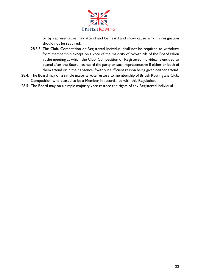

or by representative may attend and be heard and show cause why his resignation should not be required.

- 28.3.3. The Club, Competition or Registered Individual shall not be required to withdraw from membership except on a vote of the majority of two-thirds of the Board taken at the meeting at which the Club, Competition or Registered Individual is entitled to attend after the Board has heard the party or such representative if either or both of them attend or in their absence if without sufficient reason being given neither attend.
- 28.4. The Board may on a simple majority vote restore to membership of British Rowing any Club, Competition who ceased to be a Member in accordance with this Regulation.
- 28.5. The Board may on a simple majority vote restore the rights of any Registered Individual.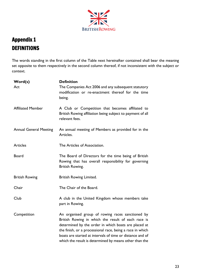

# Appendix 1 DEFINITIONS

The words standing in the first column of the Table next hereinafter contained shall bear the meaning set opposite to them respectively in the second column thereof, if not inconsistent with the subject or context.

| Word(s)                       | <b>Definition</b>                                                                                                                                                                                                                                                                                                                                  |
|-------------------------------|----------------------------------------------------------------------------------------------------------------------------------------------------------------------------------------------------------------------------------------------------------------------------------------------------------------------------------------------------|
| Act                           | The Companies Act 2006 and any subsequent statutory<br>modification or re-enactment thereof for the time<br>being.                                                                                                                                                                                                                                 |
| <b>Affiliated Member</b>      | A Club or Competition that becomes affiliated to<br>British Rowing affiliation being subject to payment of all<br>relevant fees.                                                                                                                                                                                                                   |
| <b>Annual General Meeting</b> | An annual meeting of Members as provided for in the<br>Articles.                                                                                                                                                                                                                                                                                   |
| <b>Articles</b>               | The Articles of Association.                                                                                                                                                                                                                                                                                                                       |
| <b>Board</b>                  | The Board of Directors for the time being of British<br>Rowing that has overall responsibility for governing<br>British Rowing.                                                                                                                                                                                                                    |
| <b>British Rowing</b>         | <b>British Rowing Limited.</b>                                                                                                                                                                                                                                                                                                                     |
| Chair                         | The Chair of the Board.                                                                                                                                                                                                                                                                                                                            |
| Club                          | A club in the United Kingdom whose members take<br>part in Rowing.                                                                                                                                                                                                                                                                                 |
| Competition                   | An organised group of rowing races sanctioned by<br>British Rowing in which the result of each race is<br>determined by the order in which boats are placed at<br>the finish, or a processional race, being a race in which<br>boats are started at intervals of time or distance and of<br>which the result is determined by means other than the |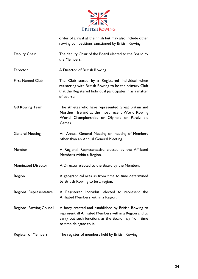

order of arrival at the finish but may also include other rowing competitions sanctioned by British Rowing,

- Deputy Chair The deputy Chair of the Board elected to the Board by the Members.
- Director **A Director of British Rowing.**
- First Named Club The Club stated by a Registered Individual when registering with British Rowing to be the primary Club that the Registered Individual participates in as a matter of course.
- GB Rowing Team The athletes who have represented Great Britain and Northern Ireland at the most recent World Rowing World Championships or Olympic or Paralympic Games.
- General Meeting **An Annual General Meeting or meeting of Members** other than an Annual General Meeting.
- Member **A Regional Representative elected by the Affiliated** Members within a Region.
- Nominated Director A Director elected to the Board by the Members
- Region **A** geographical area as from time to time determined by British Rowing to be a region.
- Regional Representative A Registered Individual elected to represent the Affiliated Members within a Region.
- Regional Rowing Council A body created and established by British Rowing to represent all Affiliated Members within a Region and to carry out such functions as the Board may from time to time delegate to it.
- Register of Members The register of members held by British Rowing.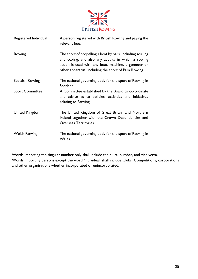

| Registered Individual  | A person registered with British Rowing and paying the<br>relevant fees.                                                                                                                                                         |
|------------------------|----------------------------------------------------------------------------------------------------------------------------------------------------------------------------------------------------------------------------------|
| Rowing                 | The sport of propelling a boat by oars, including sculling<br>and coxing, and also any activity in which a rowing<br>action is used with any boat, machine, ergometer or<br>other apparatus, including the sport of Para Rowing. |
| <b>Scottish Rowing</b> | The national governing body for the sport of Rowing in<br>Scotland.                                                                                                                                                              |
| <b>Sport Committee</b> | A Committee established by the Board to co-ordinate<br>and advise as to policies, activities and initiatives<br>relating to Rowing.                                                                                              |
| United Kingdom         | The United Kingdom of Great Britain and Northern<br>Ireland together with the Crown Dependencies and<br>Overseas Territories.                                                                                                    |
| <b>Welsh Rowing</b>    | The national governing body for the sport of Rowing in<br>Wales.                                                                                                                                                                 |

Words importing the singular number only shall include the plural number, and vice versa. Words importing persons except the word 'individual' shall include Clubs, Competitions, corporations and other organisations whether incorporated or unincorporated.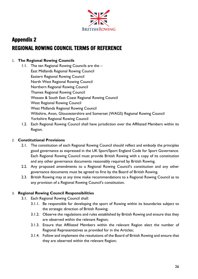

# Appendix 2 REGIONAL ROWING COUNCIL TERMS OF REFERENCE

#### 1. **The Regional Rowing Councils**

- 1.1. The ten Regional Rowing Councils are the East Midlands Regional Rowing Council Eastern Regional Rowing Council North West Regional Rowing Council Northern Regional Rowing Council Thames Regional Rowing Council Wessex & South East Coast Regional Rowing Council West Regional Rowing Council West Midlands Regional Rowing Council Wiltshire, Avon, Gloucestershire and Somerset (WAGS) Regional Rowing Council Yorkshire Regional Rowing Council
- 1.2. Each Regional Rowing Council shall have jurisdiction over the Affiliated Members within its Region.

#### 2. **Constitutional Provisions**

- 2.1. The constitution of each Regional Rowing Council should reflect and embody the principles good governance as expressed in the UK Sport/Sport England Code for Sport Governance. Each Regional Rowing Council must provide British Rowing with a copy of its constitution and any other governance documents reasonably required by British Rowing.
- 2.2. Any proposed amendments to a Regional Rowing Council's constitution and any other governance documents must be agreed to first by the Board of British Rowing.
- 2.3. British Rowing may at any time make recommendations to a Regional Rowing Council as to any provision of a Regional Rowing Council's constitution.

#### 3. **Regional Rowing Council Responsibilities**

- 3.1. Each Regional Rowing Council shall:
	- 3.1.1. Be responsible for developing the sport of Rowing within its boundaries subject to the strategic direction of British Rowing;
	- 3.1.2. Observe the regulations and rules established by British Rowing and ensure that they are observed within the relevant Region;
	- 3.1.3. Ensure that Affiliated Members within the relevant Region elect the number of Regional Representatives as provided for in the Articles;
	- 3.1.4. Follow and implement the resolutions of the Board of British Rowing and ensure that they are observed within the relevant Region;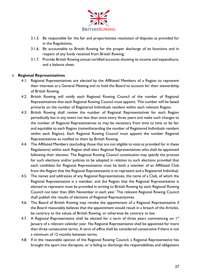

- 3.1.5. Be responsible for the fair and proportionate resolution of disputes as provided for in the Regulations;
- 3.1.6. Be accountable to British Rowing for the proper discharge of its functions and in respect of any funds received from British Rowing;
- 3.1.7. Provide British Rowing annual certified accounts showing its income and expenditure, and a balance sheet.

#### 4. **Regional Representatives**

- 4.1. Regional Representatives are elected by the Affiliated Members of a Region to represent their interests at a General Meeting and to hold the Board to account for their stewardship of British Rowing.
- 4.2. British Rowing will notify each Regional Rowing Council of the number of Regional Representatives that each Regional Rowing Council must appoint. This number will be based primarily on the number of Registered Individuals resident within each relevant Region.
- 4.3. British Rowing shall review the number of Regional Representatives for each Region periodically but in any event not less than once every three years and make such changes to the number of Regional Representatives as may be necessary from time to time to be fair and equitable to each Region (notwithstanding the number of Registered Individuals resident within each Region). Each Regional Rowing Council must appoint the number Regional Representatives as notified to them by British Rowing.
- 4.4. The Affiliated Members (excluding those that are not eligible to vote as provided for in these Regulations) within each Region shall elect Regional Representatives who shall be appointed following their election. The Regional Rowing Council constitution may specify the process for such elections and/or policies to be adopted in relation to such elections provided that each candidate for Regional Representative must be both a member of an Affiliated Club from the Region that the Regional Representative is to represent and a Registered Individual.
- 4.5. The names and addresses of any Regional Representatives, the name of a Club, of which the Regional Representative is a member, and the Region that the Regional Representative is elected to represent must be provided in writing to British Rowing by each Regional Rowing Council not later than 30th November in each year. The relevant Regional Rowing Council shall publish the results of elections of Regional Representatives.
- 4.6. The Board of British Rowing may revoke the appointment of a Regional Representative if the Board reasonably believes that the appointment would result in a breach of the Articles, be contrary to the values of British Rowing, or otherwise be contrary to law.
- 4.7. A Regional Representative shall be elected for a term of three years commencing on  $I^{st}$ January of a relevant calendar year. No Regional Representative shall be appointed for more than three consecutive terms. A term of office shall be considered consecutive if there is not a minimum of 12 months between terms.
- 4.8. If in the reasonable opinion of the Regional Rowing Council, a Regional Representative has brought the sport into disrepute, or is failing to discharge the responsibilities and obligations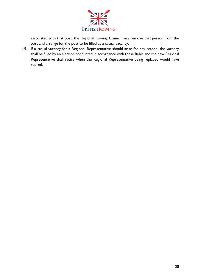

associated with that post, the Regional Rowing Council may remove that person from the post and arrange for the post to be filled as a casual vacancy.

4.9. If a casual vacancy for a Regional Representative should arise for any reason, the vacancy shall be filled by an election conducted in accordance with these Rules and the new Regional Representative shall retire when the Regional Representative being replaced would have retired.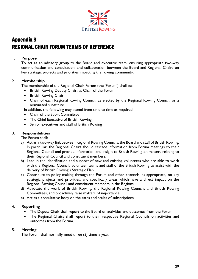

# Appendix 3 REGIONAL CHAIR FORUM TERMS OF REFERENCE

#### 1. **Purpose**

To act as an advisory group to the Board and executive team, ensuring appropriate two-way communication and consultation, and collaboration between the Board and Regional Chairs on key strategic projects and priorities impacting the rowing community.

#### 2. **Membership**

The membership of the Regional Chair Forum (the 'Forum') shall be:

- British Rowing Deputy Chair, as Chair of the Forum
- British Rowing Chair
- Chair of each Regional Rowing Council, as elected by the Regional Rowing Council, or a nominated substitute

In addition, the following may attend from time to time as required:

- Chair of the Sport Committee
- The Chief Executive of British Rowing
- Senior executives and staff of British Rowing

#### 3. **Responsibilities**

The Forum shall:

- a) Act as a two-way link between Regional Rowing Councils, the Board and staff of British Rowing. In particular, the Regional Chairs should cascade information from Forum meetings to their Regional Council and provide information and insight to British Rowing on matters relating to their Regional Council and constituent members.
- b) Lead in the identification and support of new and existing volunteers who are able to work with the Regional Council, volunteer teams and staff of the British Rowing to assist with the delivery of British Rowing's Strategic Plan.
- c) Contribute to policy making through the Forum and other channels, as appropriate, on key strategic projects and priorities, and specifically areas which have a direct impact on the Regional Rowing Council and constituent members in the Regions.
- d) Advocate the work of British Rowing, the Regional Rowing Councils and British Rowing Committees, and proactively raise matters of importance.
- e) Act as a consultative body on the rates and scales of subscriptions.

#### 4. **Reporting**

- The Deputy Chair shall report to the Board on activities and outcomes from the Forum.
- The Regional Chairs shall report to their respective Regional Councils on activities and outcomes from the Forum.

#### 5. **Meeting**

The Forum shall normally meet three (3) times a year.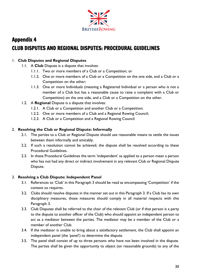

# Appendix 4 CLUB DISPUTES AND REGIONAL DISPUTES: PROCEDURAL GUIDELINES

#### 1. **Club Disputes and Regional Disputes**

- 1.1. A **Club** Dispute is a dispute that involves:
	- 1.1.1. Two or more members of a Club or a Competition; or
	- 1.1.2. One or more members of a Club or a Competition on the one side, and a Club or a Competition on the other;
	- 1.1.3. One or more Individuals (meaning a Registered Individual or a person who is not a member of a Club but has a reasonable cause to raise a complaint with a Club or Competition) on the one side, and a Club or a Competition on the other.
- 1.2. A **Regional** Dispute is a dispute that involves:
	- 1.2.1. A Club or a Competition and another Club or a Competition;
	- 1.2.2. One or more members of a Club and a Regional Rowing Council;
	- 1.2.3. A Club or a Competition and a Regional Rowing Council

#### 2. **Resolving the Club or Regional Dispute: Informally**

- 2.1. The parties to a Club or Regional Dispute should use reasonable means to settle the issues between them informally and amicably.
- 2.2. If such a resolution cannot be achieved, the dispute shall be resolved according to these Procedural Guidelines.
- 2.3. In these Procedural Guidelines the term 'independent' as applied to a person mean a person who has not had any direct or indirect involvement in any relevant Club or Regional Dispute Dispute.

#### 3. **Resolving a Club Dispute: Independent Panel**

- 3.1. References to 'Club' in this Paragraph 3 should be read as encompassing 'Competition' if the context so requires.
- 3.2. Clubs should resolve disputes in the manner set out in this Paragraph 3. If a Club has its own disciplinary measures, those measures should comply in all material respects with this Paragraph 3.
- 3.3. Club Disputes shall be referred to the chair of the relevant Club (or if that person is a party to the dispute to another officer of the Club) who should appoint an independent person to act as a mediator between the parties. The mediator may be a member of the Club or a member of another Club.
- 3.4. If the mediator is unable to bring about a satisfactory settlement, the Club shall appoint an independent panel (the 'panel') to determine the dispute.
- 3.5. The panel shall consist of up to three persons who have not been involved in the dispute. The parties shall be given the opportunity to object (on reasonable grounds) to any of the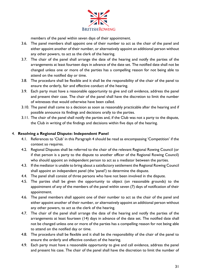

members of the panel within seven days of their appointment.

- 3.6. The panel members shall appoint one of their number to act as the chair of the panel and either appoint another of their number, or alternatively appoint an additional person without any other powers, to act as the clerk of the hearing.
- 3.7. The chair of the panel shall arrange the date of the hearing and notify the parties of the arrangements at least fourteen days in advance of the date set. The notified date shall not be changed unless one or more of the parties has a compelling reason for not being able to attend on the notified day or time.
- 3.8. The procedure shall be flexible and it shall be the responsibility of the chair of the panel to ensure the orderly, fair and effective conduct of the hearing.
- 3.9. Each party must have a reasonable opportunity to give and call evidence, address the panel and present their case. The chair of the panel shall have the discretion to limit the number of witnesses that would otherwise have been called.
- 3.10. The panel shall come to a decision as soon as reasonably practicable after the hearing and if possible announce its findings and decisions orally to the parties.
- 3.11. The chair of the panel shall notify the parties and, if the Club was not a party to the dispute, the Club in writing of the findings and decisions within five days of the hearing.

#### 4. **Resolving a Regional Dispute: Independent Panel**

- 4.1. References to 'Club' in this Paragraph 4 should be read as encompassing 'Competition' if the context so requires.
- 4.2. Regional Disputes shall be referred to the chair of the relevant Regional Rowing Council (or if that person is a party to the dispute to another officer of the Regional Rowing Council) who should appoint an independent person to act as a mediator between the parties.
- 4.3. If the mediator is unable to bring about a satisfactory settlement the Regional Rowing Council shall appoint an independent panel (the 'panel') to determine the dispute.
- 4.4. The panel shall consist of three persons who have not been involved in the dispute.
- 4.5. The parties shall be given the opportunity to object (on reasonable grounds) to the appointment of any of the members of the panel within seven (7) days of notification of their appointment.
- 4.6. The panel members shall appoint one of their number to act as the chair of the panel and either appoint another of their number, or alternatively appoint an additional person without any other powers, to act as the clerk of the hearing.
- 4.7. The chair of the panel shall arrange the date of the hearing and notify the parties of the arrangements at least fourteen (14) days in advance of the date set. The notified date shall not be changed unless one or more of the parties has a compelling reason for not being able to attend on the notified day or time.
- 4.8. The procedure shall be flexible and it shall be the responsibility of the chair of the panel to ensure the orderly and effective conduct of the hearing.
- 4.9. Each party must have a reasonable opportunity to give and call evidence, address the panel and present his case. The chair of the panel shall have the discretion to limit the number of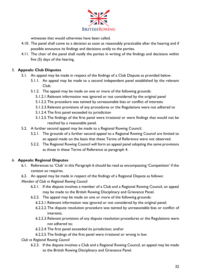

witnesses that would otherwise have been called.

- 4.10. The panel shall come to a decision as soon as reasonably practicable after the hearing and if possible announce its findings and decisions orally to the parties.
- 4.11. The chair of the panel shall notify the parties in writing of the findings and decisions within five (5) days of the hearing.

#### 5. **Appeals: Club Disputes**

- 5.1. An appeal may be made in respect of the findings of a Club Dispute as provided below.
	- 5.1.1. An appeal may be made to a second independent panel established by the relevant Club.
	- 5.1.2. The appeal may be made on one or more of the following grounds:
		- 5.1.2.1.Relevant information was ignored or not considered by the original panel
		- 5.1.2.2.The procedure was tainted by unreasonable bias or conflict of interests
		- 5.1.2.3.Relevant provisions of any procedures or the Regulations were not adhered to
		- 5.1.2.4.The first panel exceeded its jurisdiction
		- 5.1.2.5.The findings of the first panel were irrational or were findings that would not be reached by a reasonable panel.
- 5.2. A further second appeal may be made to a Regional Rowing Council.
	- 5.2.1. The grounds of a further second appeal to a Regional Rowing Council are limited to an appeal made on the basis that these Terms of Reference were not observed.
	- 5.2.2. The Regional Rowing Council will form an appeal panel adopting the same provisions as those in these Terms of Reference at paragraph 4.

#### 6. **Appeals: Regional Disputes**

- 6.1. References to 'Club' in this Paragraph 6 should be read as encompassing 'Competition' if the context so requires.
- 6.2. An appeal may be made in respect of the findings of a Regional Dispute as follows:

*Member of Club vs Regional Rowing Council*

- 6.2.1. If the dispute involves a member of a Club and a Regional Rowing Council, an appeal may be made to the British Rowing Disciplinary and Grievance Panel.
- 6.2.2. The appeal may be made on one or more of the following grounds:
	- 6.2.2.1.Relevant information was ignored or not considered by the original panel;
	- 6.2.2.2.The dispute resolution procedure was tainted by unreasonable bias or conflict of interests;
	- 6.2.2.3.Relevant provisions of any dispute resolution procedures or the Regulations were not adhered to;
	- 6.2.2.4.The first panel exceeded its jurisdiction; and/or
	- 6.2.2.5.The findings of the first panel were irrational or wrong in law.

*Club vs Regional Rowing Council*

6.2.3. If the dispute involves a Club and a Regional Rowing Council, an appeal may be made to the British Rowing Disciplinary and Grievance Panel.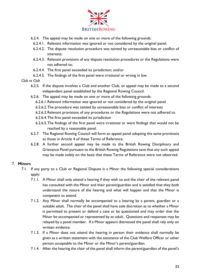

- 6.2.4. The appeal may be made on one or more of the following grounds:
	- 6.2.4.1. Relevant information was ignored or not considered by the original panel;
	- 6.2.4.2. The dispute resolution procedure was tainted by unreasonable bias or conflict of interests;
	- 6.2.4.3. Relevant provisions of any dispute resolution procedures or the Regulations were not adhered to;
	- 6.2.4.4. The first panel exceeded its jurisdiction; and/or
	- 6.2.4.5. The findings of the first panel were irrational or wrong in law.

#### *Club vs Club*

- 6.2.5. If the dispute involves a Club and another Club, an appeal may be made to a second independent panel established by the Regional Rowing Council.
- 6.2.6. The appeal may be made on one or more of the following grounds:
	- 6.2.6.1.Relevant information was ignored or not considered by the original panel
	- 6.2.6.2.The procedure was tainted by unreasonable bias or conflict of interests
	- 6.2.6.3.Relevant provisions of any procedures or the Regulations were not adhered to
	- 6.2.6.4.The first panel exceeded its jurisdiction
	- 6.2.6.5.The findings of the first panel were irrational or were findings that would not be reached by a reasonable panel.
- 6.2.7. The Regional Rowing Council will form an appeal panel adopting the same provisions as those in Article 4 of these Terms of Reference.
- 6.2.8. A further second appeal may be made to the British Rowing Disciplinary and Grievance Panel pursuant to the British Rowing Regulations save that any such appeal may be made solely on the basis that these Terms of Reference were not observed.

#### 7. **Minors**

- 7.1. If any party to a Club or Regional Dispute is a Minor the following special considerations apply:
	- 7.1.1. A Minor shall only attend a hearing if they wish to and the chair of the relevant panel has consulted with the Minor and their parent/guardian and is satisfied that they both understand the nature of the hearing and what will happen and that the Minor is competent to attend.
	- 7.1.2. Any Minor shall normally be accompanied to a hearing by a parent, guardian or a suitable adult. The chair of the panel shall have sole discretion as to whether a Minor is permitted to present or defend a case or be questioned and may order that the Minor be accompanied or represented by an adult. Questions and responses may be relayed by a panel member. If a Minor appears distressed the panel shall rely only on written evidence.
	- 7.1.3. If a Minor does not attend the hearing in person their evidence shall normally be given as a written statement with the assistance of the Club Welfare Officer or other person acceptable to the Minor or the Minor's parent/guardian.
	- 7.1.4. After the hearing the chair of the panel shall inform the parent/guardian of the panel's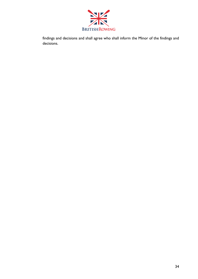

findings and decisions and shall agree who shall inform the Minor of the findings and decisions.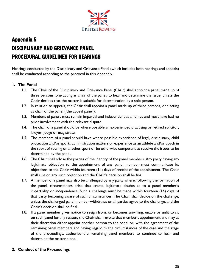

# Appendix 5 DISCIPLINARY AND GRIEVANCE PANEL PROCEDURAL GUIDELINES FOR HEARINGS

Hearings conducted by the Disciplinary and Grievance Panel (which includes both hearings and appeals) shall be conducted according to the protocol in this Appendix.

#### **1. The Panel**

- 1.1. The Chair of the Disciplinary and Grievance Panel (Chair) shall appoint a panel made up of three persons, one acting as chair of the panel, to hear and determine the issue, unless the Chair decides that the matter is suitable for determination by a sole person.
- 1.2. In relation to appeals, the Chair shall appoint a panel made up of three persons, one acting as chair of the panel ('the appeal panel').
- 1.3. Members of panels must remain impartial and independent at all times and must have had no prior involvement with the relevant dispute.
- 1.4. The chair of a panel should be where possible an experienced practising or retired solicitor, lawyer, judge or magistrate.
- 1.5. The members of a panel should have where possible experience of legal, disciplinary, child protection and/or sports administration matters or experience as an athlete and/or coach in the sport of rowing or another sport or be otherwise competent to resolve the issues to be determined by the panel.
- 1.6. The Chair shall advise the parties of the identity of the panel members. Any party having any legitimate objection to the appointment of any panel member must communicate its objections to the Chair within fourteen (14) days of receipt of the appointment. The Chair shall rule on any such objection and the Chair's decision shall be final.
- 1.7. A member of a panel may also be challenged by any party where, following the formation of the panel, circumstances arise that create legitimate doubts as to a panel member's impartiality or independence. Such a challenge must be made within fourteen (14) days of that party becoming aware of such circumstances. The Chair shall decide on the challenge, unless the challenged panel member withdraws or all parties agree to the challenge, and the Chair's decision shall be final.
- 1.8. If a panel member gives notice to resign from, or becomes unwilling, unable or unfit to sit on such panel for any reason, the Chair shall revoke that member's appointment and may at their discretion either appoint another person to the panel or, with the agreement of the remaining panel members and having regard to the circumstances of the case and the stage of the proceedings, authorise the remaining panel members to continue to hear and determine the matter alone.

#### **2. Conduct of the Proceedings**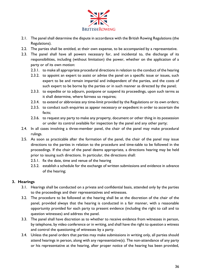

- 2.1. The panel shall determine the dispute in accordance with the British Rowing Regulations (the Regulations).
- 2.2. The parties shall be entitled, at their own expense, to be accompanied by a representative.
- 2.3. The panel shall have all powers necessary for, and incidental to, the discharge of its responsibilities, including (without limitation) the power, whether on the application of a party or of its own motion:
	- 2.3.1. to make all appropriate procedural directions in relation to the conduct of the hearing
	- 2.3.2. to appoint an expert to assist or advise the panel on a specific issue or issues, such expert to be and remain impartial and independent of the parties, and the costs of such expert to be borne by the parties or in such manner as directed by the panel;
	- 2.3.3. to expedite or to adjourn, postpone or suspend its proceedings, upon such terms as it shall determine, where fairness so requires;
	- 2.3.4. to extend or abbreviate any time-limit provided by the Regulations or its own orders;
	- 2.3.5. to conduct such enquiries as appear necessary or expedient in order to ascertain the facts;
	- 2.3.6. to request any party to make any property, document or other thing in its possession or under its control available for inspection by the panel and any other party;
- 2.4. In all cases involving a three-member panel, the chair of the panel may make procedural rulings.
- 2.5. As soon as practicable after the formation of the panel, the chair of the panel may issue directions to the parties in relation to the procedure and time-table to be followed in the proceedings. If the chair of the panel deems appropriate, a directions hearing may be held prior to issuing such directions. In particular, the directions shall:
	- 2.5.1. fix the date, time and venue of the hearing
	- 2.5.2. establish a schedule for the exchange of written submissions and evidence in advance of the hearing;

#### **3. Hearings**

- 3.1. Hearings shall be conducted on a private and confidential basis, attended only by the parties to the proceedings and their representatives and witnesses.
- 3.2. The procedure to be followed at the hearing shall be at the discretion of the chair of the panel, provided always that the hearing is conducted in a fair manner, with a reasonable opportunity provided for each party to present evidence (including the right to call and to question witnesses) and address the panel.
- 3.3. The panel shall have discretion as to whether to receive evidence from witnesses in person, by telephone, by video conference or in writing, and shall have the right to question a witness and control the questioning of witnesses by a party.
- 3.4. Unless the panel orders that parties may make submissions in writing only, all parties should attend hearings in person, along with any representative(s). The non-attendance of any party or his representative at the hearing, after proper notice of the hearing has been provided,